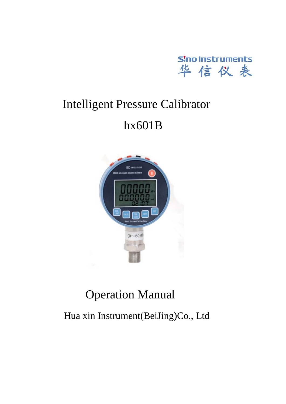

## Intelligent Pressure Calibrator

### hx601B



### Operation Manual

Hua xin Instrument(BeiJing)Co., Ltd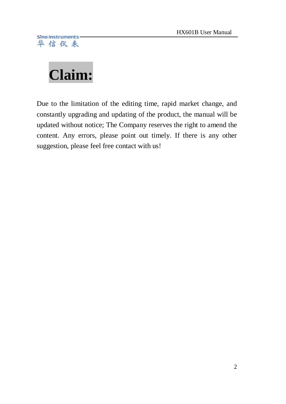# <span id="page-1-0"></span>**Claim:**

Due to the limitation of the editing time, rapid market change, and constantly upgrading and updating of the product, the manual will be updated without notice; The Company reserves the right to amend the content. Any errors, please point out timely. If there is any other suggestion, please feel free contact with us!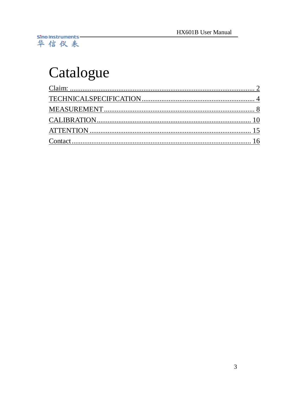# Catalogue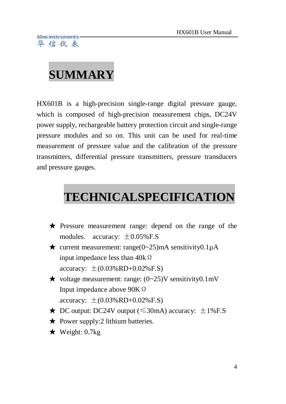## **SUMMARY**

HX601B is a high-precision single-range digital pressure gauge, which is composed of high-precision [measurement chips](http://dict.cnki.net/dict_result.aspx?searchword=%e6%b5%8b%e9%87%8f%e8%8a%af%e7%89%87&tjType=sentence&style=&t=measurement+chip), DC24V power supply, rechargeable battery protection circuit and single-range pressure modules and so on. This unit can be used for real-time measurement of pressure value and the calibration of the pressure transmitters, differential pressure transmitters, pressure transducers and pressure gauges.

### <span id="page-3-0"></span> **TECHNICALSPECIFICATION**

- ★ Pressure measurement range: depend on the range of the modules. accuracy:  $\pm 0.05\%$  F.S
- $\star$  current measurement: range(0~25)mA sensitivity0.1 $\mu$ A [input impedance](http://dict.cnki.net/dict_result.aspx?searchword=%e8%be%93%e5%85%a5%e9%98%bb%e6%8a%97&tjType=sentence&style=&t=input+impedance) less than  $40k\Omega$ accuracy:  $\pm (0.03\%RD + 0.02\%F.S)$
- $\star$  voltage measurement: range: (0~25)V sensitivity0.1mV Input impedance above 90KΩ accuracy:  $\pm (0.03\%RD + 0.02\%FS)$
- ★ DC output: DC24V output ( $\leq$ 30mA) accuracy:  $\pm$ 1%F.S
- $\bigstar$  Power supply: 2 [lithium batteri](http://dict.cnki.net/dict_result.aspx?searchword=%e9%94%82%e7%94%b5%e6%b1%a0&tjType=sentence&style=&t=lithium+battery)es.
- $\star$  Weight: 0.7kg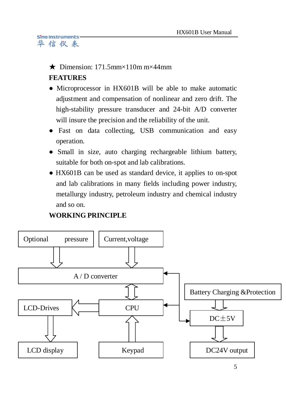#### $\bigstar$  Dimension: 171.5mm×110m m×44mm

### **FEATURES**

- Microprocessor in HX601B will be able to make automatic adjustment and compensation of nonlinear and zero drift. The high-stability pressure transducer and 24-bit A/D converter will insure the precision and the reliability of the unit.
- Fast on data collecting, USB communication and easy operation.
- Small in size, auto charging rechargeable [lithium battery,](http://dict.cnki.net/dict_result.aspx?searchword=%e9%94%82%e7%94%b5%e6%b1%a0&tjType=sentence&style=&t=lithium+battery)  suitable for both on-spot and lab calibrations.
- HX601B can be used as standard device, it applies to on-spot and lab calibrations in many fields including power industry, metallurgy industry, petroleum industry and chemical industry and so on.

### **WORKING PRINCIPLE**

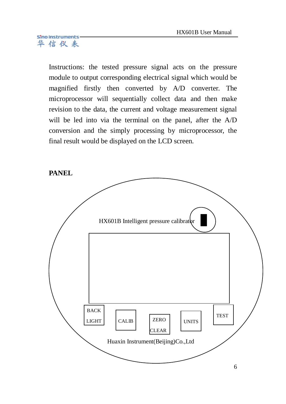Instructions: the tested pressure signal acts on the pressure module to output corresponding [electrical signal](http://dict.cnki.net/dict_result.aspx?searchword=%e7%94%b5%e4%bf%a1%e5%8f%b7&tjType=sentence&style=&t=electrical+signal) which would be magnified firstly then converted by A/D converter. The microprocessor will sequentially collect data and then make revision to the data, the current and voltage measurement signal will be led into via the terminal on the [panel,](http://dict.cnki.net/dict_result.aspx?searchword=%e9%9d%a2%e6%9d%bf&tjType=sentence&style=&t=panel) after the A/D conversion and the simply processing by microprocessor, the final result would be displayed on the LCD screen.

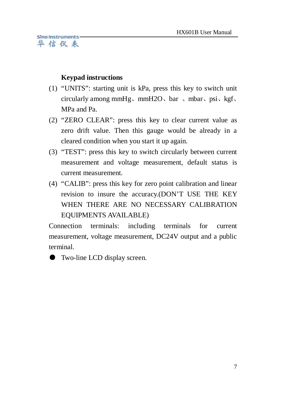#### **Keypad instructions**

- (1) "UNITS": starting unit is kPa, press this key to switch unit circularly among mmHg、mmH2O、bar 、mbar、psi、kgf、 MPa and Pa.
- (2) "ZERO CLEAR": press this key to clear current value as zero drift value. Then this gauge would be already in a cleared condition when you start it up again.
- (3) "TEST": press this key to switch circularly between current measurement and voltage measurement, default status is current measurement.
- (4) "CALIB": press this key for zero point calibration and [linear](http://dict.cnki.net/dict_result.aspx?searchword=%e7%ba%bf%e6%80%a7%e4%bf%ae%e6%ad%a3&tjType=sentence&style=&t=linear+revision)  [revision](http://dict.cnki.net/dict_result.aspx?searchword=%e7%ba%bf%e6%80%a7%e4%bf%ae%e6%ad%a3&tjType=sentence&style=&t=linear+revision) to insure the accuracy.(DON'T USE THE KEY WHEN THERE ARE NO NECESSARY CALIBRATION EQUIPMENTS AVAILABLE)

Connection terminals: including terminals for current measurement, voltage measurement, DC24V output and a public terminal.

● Two-line LCD display screen.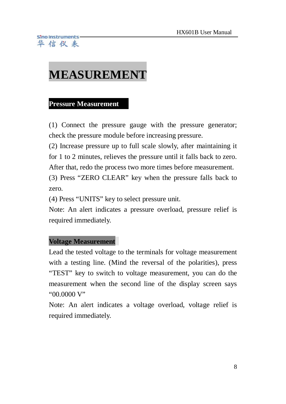### <span id="page-7-0"></span>**MEASUREMENT**

#### **Pressure Measurement**

(1) Connect the pressure gauge with the pressure generator; check the pressure module before increasing pressure.

(2) Increase pressure up to full scale slowly, after maintaining it for 1 to 2 minutes, relieves the pressure until it falls back to zero. After that, redo the process two more times before measurement.

(3) Press "ZERO CLEAR" key when the pressure falls back to zero.

(4) Press "UNITS" key to select pressure unit.

Note: An alert indicates a pressure overload, pressure relief is required immediately.

### **Voltage Measurement**

Lead the tested voltage to the terminals for voltage measurement with a testing line. (Mind the reversal of the polarities), press "TEST" key to switch to voltage measurement, you can do the measurement when the second line of the display screen says "00.0000 V"

Note: An alert indicates a voltage overload, voltage relief is required immediately.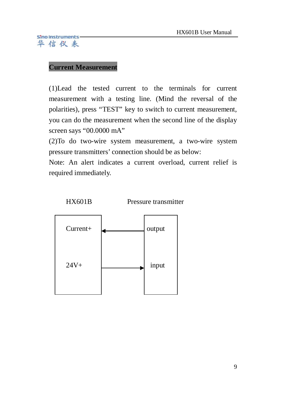#### **Current Measurement**

(1)Lead the tested current to the terminals for current measurement with a testing line. (Mind the reversal of the polarities), press "TEST" key to switch to current measurement, you can do the measurement when the second line of the display screen says "00.0000 mA"

(2)To do two-wire system measurement, a two-wire system pressure transmitters' connection should be as below:

Note: An alert indicates a current overload, current relief is required immediately.

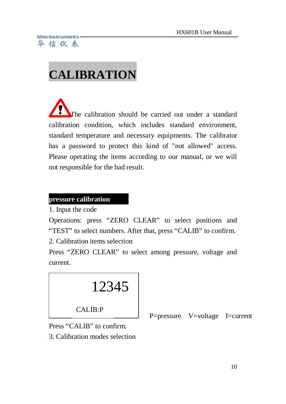# <span id="page-9-0"></span>**CALIBRATION**

j The calibration should be carried out under a standard calibration condition, which includes standard environment, standard temperature and necessary equipments. The calibrator has a password to protect this kind of "not allowed" access. Please operating the items according to our manual, or we will not responsible for the bad result.

#### **pressure calibration**

1. Input the code

Operations: press "ZERO CLEAR" to select positions and "TEST" to select numbers. After that, press "CALIB" to confirm.

2. Calibration items selection

Press "ZERO CLEAR" to select among pressure, voltage and current.



P=pressure V=voltage I=current

Press "CALIB" to confirm.

3. Calibration modes selection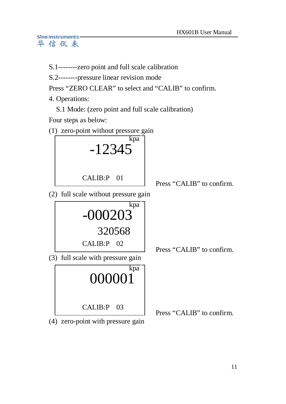S.1--------zero point and full scale calibration

S.2--------pressure linear revision mode

Press "ZERO CLEAR" to select and "CALIB" to confirm.

4. Operations:

S.1 Mode: (zero point and full scale calibration)

Four steps as below:





(4) zero-point with pressure gain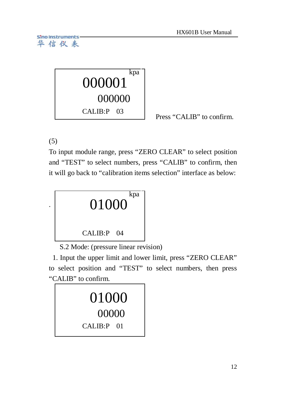

Press "CALIB" to confirm.

(5)

To input module range, press "ZERO CLEAR" to select position and "TEST" to select numbers, press "CALIB" to confirm, then it will go back to "calibration items selection" interface as below:



S.2 Mode: (pressure linear revision)

1. Input the upper limit and lower limit, press "ZERO CLEAR" to select position and "TEST" to select numbers, then press "CALIB" to confirm.

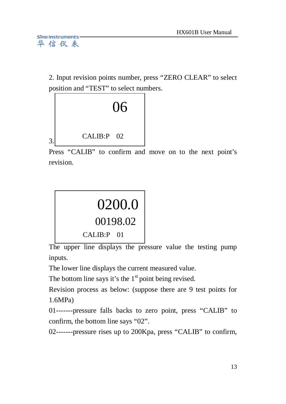2. Input revision points number, press "ZERO CLEAR" to select position and "TEST" to select numbers.



Press "CALIB" to confirm and move on to the next point's revision.



The upper line displays the pressure value the testing pump inputs.

The lower line displays the current measured value.

The bottom line says it's the  $1<sup>st</sup>$  point being revised.

Revision process as below: (suppose there are 9 test points for 1.6MPa)

01-------pressure falls backs to zero point, press "CALIB" to confirm, the bottom line says "02".

02-------pressure rises up to 200Kpa, press "CALIB" to confirm,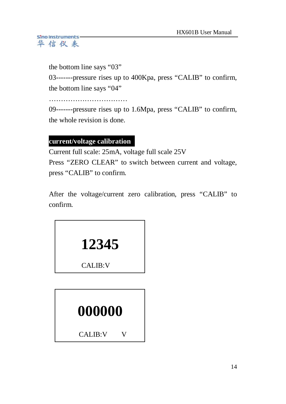the bottom line says "03"

03-------pressure rises up to 400Kpa, press "CALIB" to confirm, the bottom line says "04"

……………………………

09-------pressure rises up to 1.6Mpa, press "CALIB" to confirm, the whole revision is done.

### **current/voltage calibration**

Current full scale: 25mA, voltage full scale 25V Press "ZERO CLEAR" to switch between current and voltage, press "CALIB" to confirm.

After the voltage/current zero calibration, press "CALIB" to confirm.



CALIB:V

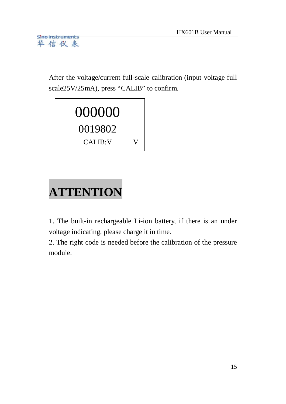After the voltage/current full-scale calibration (input voltage full scale25V/25mA), press "CALIB" to confirm.



# <span id="page-14-0"></span>**ATTENTION**

1. The built-in rechargeable Li-ion battery, if there is an under voltage indicating, please charge it in time.

2. The right code is needed before the calibration of the pressure module.